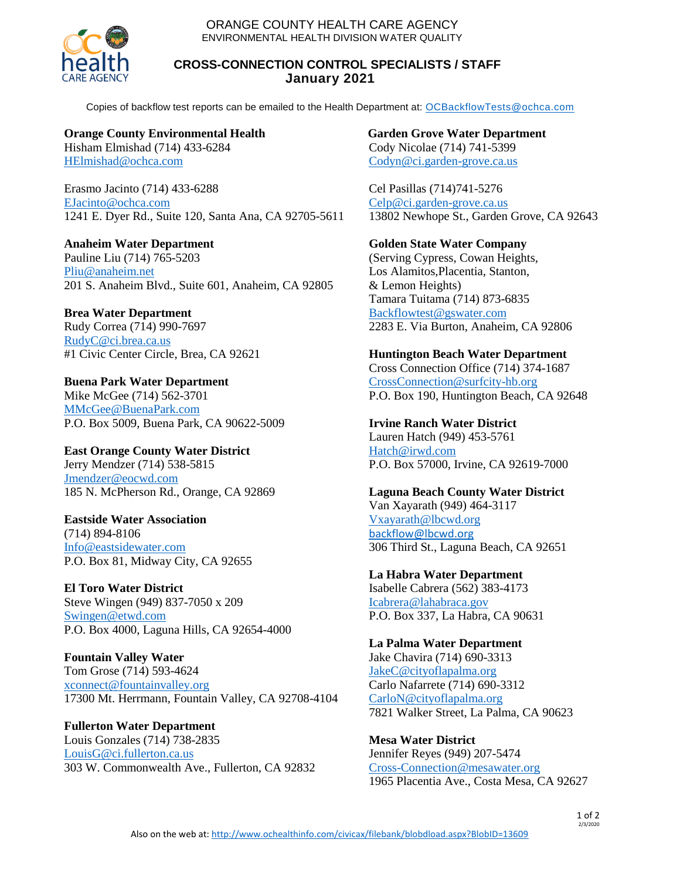ORANGE COUNTY HEALTH CARE AGENCY ENVIRONMENTAL HEALTH DIVISION WATER QUALITY



## **CROSS-CONNECTION CONTROL SPECIALISTS / STAFF January 2021**

Copies of backflow test reports can be emailed to the Health Department at: [OCBackflowTests@ochca.com](mailto:OCBackflowTests@ochca.com)

**Orange County Environmental Health** Hisham Elmishad (714) 433-6284 [HElmishad@ochca.com](mailto:HElmishad@ochca.com)

Erasmo Jacinto (714) 433-6288 [EJacinto@ochca.com](mailto:EJacinto@ochca.com) 1241 E. Dyer Rd., Suite 120, Santa Ana, CA 92705-5611

**Anaheim Water Department** Pauline Liu (714) 765-5203 [Pliu@anaheim.net](mailto:Pliu@anaheim.net) 201 S. Anaheim Blvd., Suite 601, Anaheim, CA 92805

**Brea Water Department** Rudy Correa (714) 990-7697 [RudyC@ci.brea.ca.us](mailto:RudyC@ci.brea.ca.us) #1 Civic Center Circle, Brea, CA 92621

**Buena Park Water Department** Mike McGee (714) 562-3701 [MMcGee@BuenaPark.com](mailto:MMcGee@BuenaPark.com) P.O. Box 5009, Buena Park, CA 90622-5009

**East Orange County Water District** Jerry Mendzer (714) 538-5815 [Jmendzer@eocwd.com](mailto:Jmendzer@eocwd.com) 185 N. McPherson Rd., Orange, CA 92869

**Eastside Water Association** (714) 894-8106 [Info@eastsidewater.com](mailto:Info@eastsidewater.com) P.O. Box 81, Midway City, CA 92655

**El Toro Water District** Steve Wingen (949) 837-7050 x 209 [Swingen@etwd.com](mailto:Swingen@etwd.com) P.O. Box 4000, Laguna Hills, CA 92654-4000

**Fountain Valley Water** Tom Grose (714) 593-4624 [xconnect@fountainvalley.org](mailto:xconnect@fountainvalley.org) 17300 Mt. Herrmann, Fountain Valley, CA 92708-4104

**Fullerton Water Department** Louis Gonzales (714) 738-2835 [LouisG@ci.fullerton.ca.us](mailto:LouisG@ci.fullerton.ca.us) 303 W. Commonwealth Ave., Fullerton, CA 92832 **Garden Grove Water Department** Cody Nicolae (714) 741-5399 [Codyn@ci.garden-grove.ca.us](mailto:codyn@ci.garden-grove.ca.us)

Cel Pasillas (714)741-5276 [Celp@ci.garden-grove.ca.us](mailto:Celp@ci.garden-grove.ca.us) 13802 Newhope St., Garden Grove, CA 92643

## **Golden State Water Company**

(Serving Cypress, Cowan Heights, Los Alamitos,Placentia, Stanton, & Lemon Heights) Tamara Tuitama (714) 873-6835 [Backflowtest@gswater.com](file://///ochca/hcashares/EH/Water%20Quality/Databases/Backflow/Backflowtest@gswater.com) 2283 E. Via Burton, Anaheim, CA 92806

**Huntington Beach Water Department**

Cross Connection Office (714) 374-1687 CrossConnection@surfcity-hb.org P.O. Box 190, Huntington Beach, CA 92648

**Irvine Ranch Water District**

Lauren Hatch (949) 453-5761 [Hatch@irwd.com](mailto:Hatch@irwd.com) P.O. Box 57000, Irvine, CA 92619-7000

**Laguna Beach County Water District** Van Xayarath (949) 464-3117 [Vxayarath@lbcwd.org](mailto:Vxayarath@lbcwd.org) [backflow@lbcwd.org](mailto:backflow@lbcwd.org) 306 Third St., Laguna Beach, CA 92651

**La Habra Water Department** Isabelle Cabrera (562) 383-4173 [Icabrera@lahabraca.gov](mailto:Icabrera@lahabraca.gov) P.O. Box 337, La Habra, CA 90631

**La Palma Water Department** Jake Chavira (714) 690-3313 [JakeC@cityoflapalma.org](mailto:JakeC@cityoflapalma.org) Carlo Nafarrete (714) 690-3312 [CarloN@cityoflapalma.org](mailto:CarloN@cityoflapalma.org) 7821 Walker Street, La Palma, CA 90623

**Mesa Water District** Jennifer Reyes (949) 207-5474 [Cross-Connection@mesawater.org](mailto:Cross-Connection@mesawater.org) 1965 Placentia Ave., Costa Mesa, CA 92627